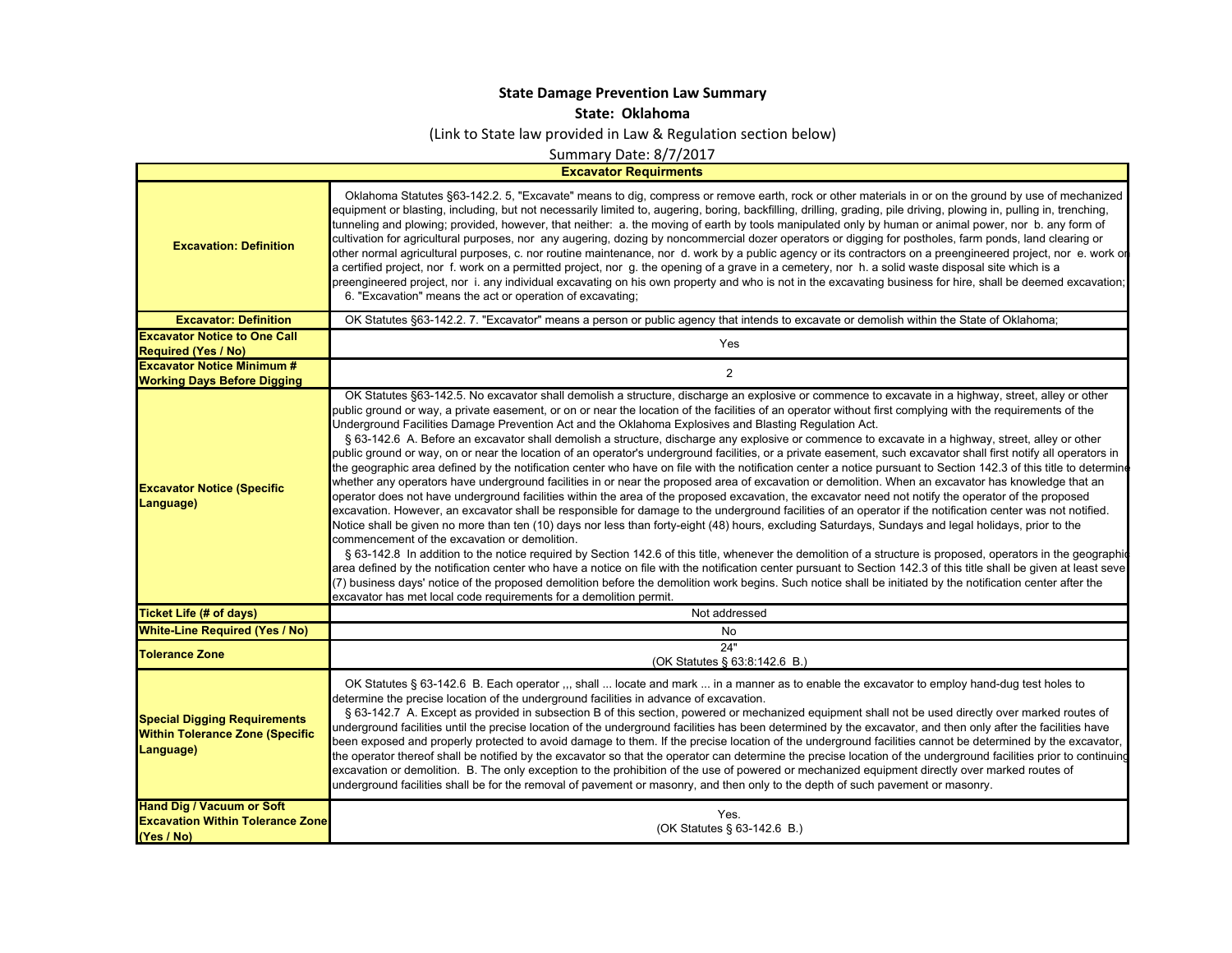## **State Damage Prevention Law Summary**

**State: Oklahoma**

(Link to State law provided in Law & Regulation section below)

Summary Date: 8/7/2017

**Excavator Requirments**

 $\mathbf{I}$ 

| <b>Excavation: Definition</b>                                                              | Oklahoma Statutes §63-142.2. 5, "Excavate" means to dig, compress or remove earth, rock or other materials in or on the ground by use of mechanized<br>equipment or blasting, including, but not necessarily limited to, augering, boring, backfilling, drilling, grading, pile driving, plowing in, pulling in, trenching,<br>tunneling and plowing; provided, however, that neither: a. the moving of earth by tools manipulated only by human or animal power, nor b. any form of<br>cultivation for agricultural purposes, nor any augering, dozing by noncommercial dozer operators or digging for postholes, farm ponds, land clearing or<br>other normal agricultural purposes, c. nor routine maintenance, nor d. work by a public agency or its contractors on a preengineered project, nor e. work or<br>a certified project, nor f. work on a permitted project, nor g. the opening of a grave in a cemetery, nor h. a solid waste disposal site which is a<br>preengineered project, nor i. any individual excavating on his own property and who is not in the excavating business for hire, shall be deemed excavation;<br>6. "Excavation" means the act or operation of excavating;                                                                                                                                                                                                                                                                                                                                                                                                                                                                                                                                                                                                                                                                                                                                                                                                                                                                                                                                                                                             |
|--------------------------------------------------------------------------------------------|------------------------------------------------------------------------------------------------------------------------------------------------------------------------------------------------------------------------------------------------------------------------------------------------------------------------------------------------------------------------------------------------------------------------------------------------------------------------------------------------------------------------------------------------------------------------------------------------------------------------------------------------------------------------------------------------------------------------------------------------------------------------------------------------------------------------------------------------------------------------------------------------------------------------------------------------------------------------------------------------------------------------------------------------------------------------------------------------------------------------------------------------------------------------------------------------------------------------------------------------------------------------------------------------------------------------------------------------------------------------------------------------------------------------------------------------------------------------------------------------------------------------------------------------------------------------------------------------------------------------------------------------------------------------------------------------------------------------------------------------------------------------------------------------------------------------------------------------------------------------------------------------------------------------------------------------------------------------------------------------------------------------------------------------------------------------------------------------------------------------------------------------------------------------------------------------|
| <b>Excavator: Definition</b>                                                               | OK Statutes §63-142.2. 7. "Excavator" means a person or public agency that intends to excavate or demolish within the State of Oklahoma;                                                                                                                                                                                                                                                                                                                                                                                                                                                                                                                                                                                                                                                                                                                                                                                                                                                                                                                                                                                                                                                                                                                                                                                                                                                                                                                                                                                                                                                                                                                                                                                                                                                                                                                                                                                                                                                                                                                                                                                                                                                       |
| <b>Excavator Notice to One Call</b>                                                        | Yes                                                                                                                                                                                                                                                                                                                                                                                                                                                                                                                                                                                                                                                                                                                                                                                                                                                                                                                                                                                                                                                                                                                                                                                                                                                                                                                                                                                                                                                                                                                                                                                                                                                                                                                                                                                                                                                                                                                                                                                                                                                                                                                                                                                            |
| <b>Required (Yes / No)</b>                                                                 |                                                                                                                                                                                                                                                                                                                                                                                                                                                                                                                                                                                                                                                                                                                                                                                                                                                                                                                                                                                                                                                                                                                                                                                                                                                                                                                                                                                                                                                                                                                                                                                                                                                                                                                                                                                                                                                                                                                                                                                                                                                                                                                                                                                                |
| <b>Excavator Notice Minimum #</b><br><b>Working Days Before Digging</b>                    | $\overline{2}$                                                                                                                                                                                                                                                                                                                                                                                                                                                                                                                                                                                                                                                                                                                                                                                                                                                                                                                                                                                                                                                                                                                                                                                                                                                                                                                                                                                                                                                                                                                                                                                                                                                                                                                                                                                                                                                                                                                                                                                                                                                                                                                                                                                 |
| <b>Excavator Notice (Specific</b><br>Language)                                             | OK Statutes §63-142.5. No excavator shall demolish a structure, discharge an explosive or commence to excavate in a highway, street, alley or other<br>public ground or way, a private easement, or on or near the location of the facilities of an operator without first complying with the requirements of the<br>Underground Facilities Damage Prevention Act and the Oklahoma Explosives and Blasting Regulation Act.<br>§ 63-142.6 A. Before an excavator shall demolish a structure, discharge any explosive or commence to excavate in a highway, street, alley or other<br>public ground or way, on or near the location of an operator's underground facilities, or a private easement, such excavator shall first notify all operators in<br>the geographic area defined by the notification center who have on file with the notification center a notice pursuant to Section 142.3 of this title to determine<br>whether any operators have underground facilities in or near the proposed area of excavation or demolition. When an excavator has knowledge that an<br>operator does not have underground facilities within the area of the proposed excavation, the excavator need not notify the operator of the proposed<br>excavation. However, an excavator shall be responsible for damage to the underground facilities of an operator if the notification center was not notified.<br>Notice shall be given no more than ten (10) days nor less than forty-eight (48) hours, excluding Saturdays, Sundays and legal holidays, prior to the<br>commencement of the excavation or demolition.<br>§ 63-142.8 In addition to the notice required by Section 142.6 of this title, whenever the demolition of a structure is proposed, operators in the geographic<br>area defined by the notification center who have a notice on file with the notification center pursuant to Section 142.3 of this title shall be given at least seve<br>(7) business days' notice of the proposed demolition before the demolition work begins. Such notice shall be initiated by the notification center after the<br>excavator has met local code requirements for a demolition permit. |
| <b>Ticket Life (# of days)</b>                                                             | Not addressed                                                                                                                                                                                                                                                                                                                                                                                                                                                                                                                                                                                                                                                                                                                                                                                                                                                                                                                                                                                                                                                                                                                                                                                                                                                                                                                                                                                                                                                                                                                                                                                                                                                                                                                                                                                                                                                                                                                                                                                                                                                                                                                                                                                  |
| <b>White-Line Required (Yes / No)</b>                                                      | No                                                                                                                                                                                                                                                                                                                                                                                                                                                                                                                                                                                                                                                                                                                                                                                                                                                                                                                                                                                                                                                                                                                                                                                                                                                                                                                                                                                                                                                                                                                                                                                                                                                                                                                                                                                                                                                                                                                                                                                                                                                                                                                                                                                             |
| <b>Tolerance Zone</b>                                                                      | 24"<br>(OK Statutes § 63:8:142.6 B.)                                                                                                                                                                                                                                                                                                                                                                                                                                                                                                                                                                                                                                                                                                                                                                                                                                                                                                                                                                                                                                                                                                                                                                                                                                                                                                                                                                                                                                                                                                                                                                                                                                                                                                                                                                                                                                                                                                                                                                                                                                                                                                                                                           |
| <b>Special Digging Requirements</b><br><b>Within Tolerance Zone (Specific</b><br>Language) | OK Statutes § 63-142.6 B. Each operator ,,, shall  locate and mark  in a manner as to enable the excavator to employ hand-dug test holes to<br>determine the precise location of the underground facilities in advance of excavation.<br>§ 63-142.7 A. Except as provided in subsection B of this section, powered or mechanized equipment shall not be used directly over marked routes of<br>underground facilities until the precise location of the underground facilities has been determined by the excavator, and then only after the facilities have<br>been exposed and properly protected to avoid damage to them. If the precise location of the underground facilities cannot be determined by the excavator,<br>the operator thereof shall be notified by the excavator so that the operator can determine the precise location of the underground facilities prior to continuing<br>excavation or demolition. B. The only exception to the prohibition of the use of powered or mechanized equipment directly over marked routes of<br>underground facilities shall be for the removal of pavement or masonry, and then only to the depth of such pavement or masonry.                                                                                                                                                                                                                                                                                                                                                                                                                                                                                                                                                                                                                                                                                                                                                                                                                                                                                                                                                                                                           |
| <b>Hand Dig / Vacuum or Soft</b><br><b>Excavation Within Tolerance Zone</b><br>(Yes / No)  | Yes.<br>(OK Statutes § 63-142.6 B.)                                                                                                                                                                                                                                                                                                                                                                                                                                                                                                                                                                                                                                                                                                                                                                                                                                                                                                                                                                                                                                                                                                                                                                                                                                                                                                                                                                                                                                                                                                                                                                                                                                                                                                                                                                                                                                                                                                                                                                                                                                                                                                                                                            |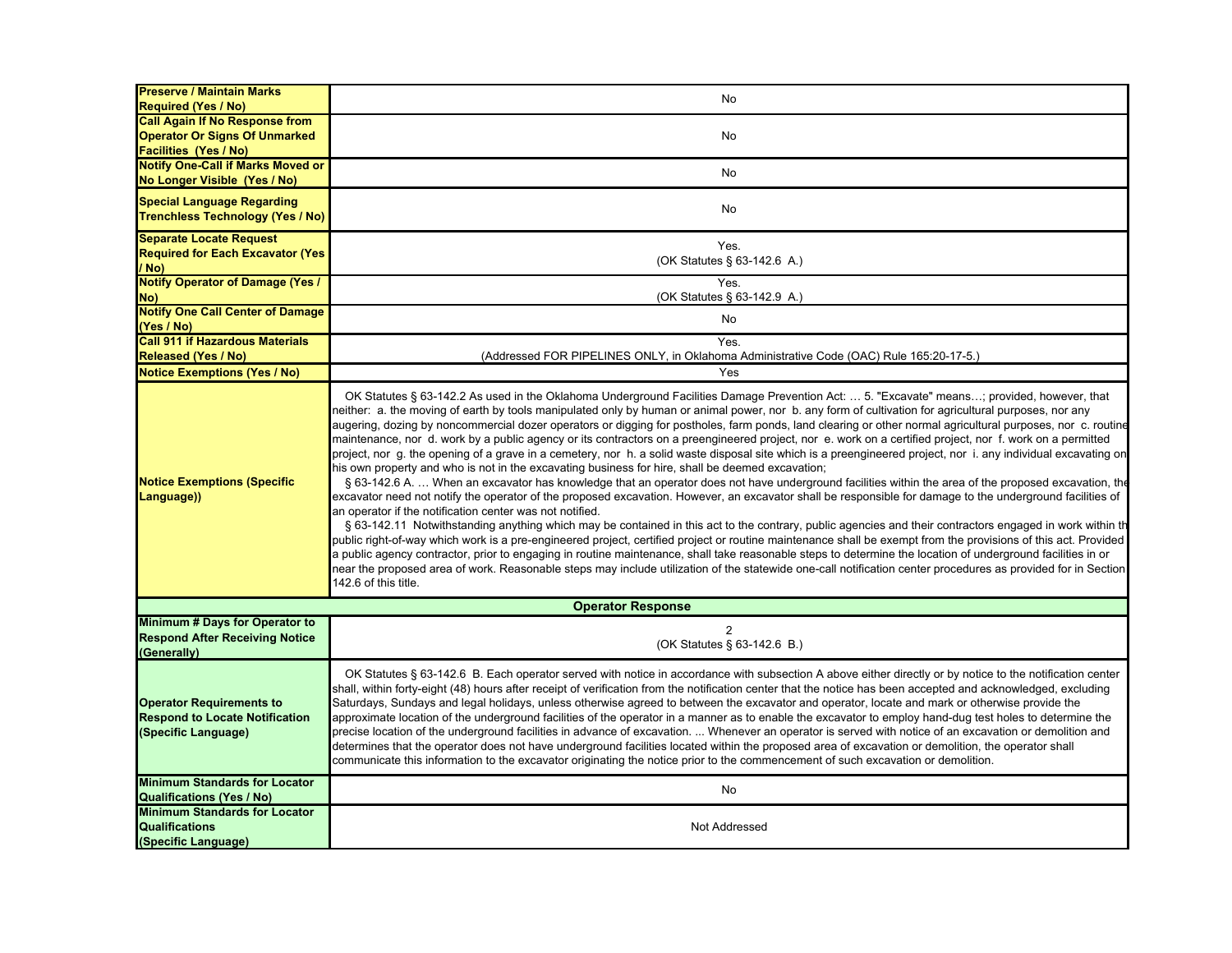| <b>Preserve / Maintain Marks</b><br><b>Required (Yes / No)</b>                                  | No                                                                                                                                                                                                                                                                                                                                                                                                                                                                                                                                                                                                                                                                                                                                                                                                                                                                                                                                                                                                                                                                                                                                                                                                                                                                                                                                                                                                                                                                                                                                                                                                                                                                                                                                                                                                                                                                                                                                                                           |
|-------------------------------------------------------------------------------------------------|------------------------------------------------------------------------------------------------------------------------------------------------------------------------------------------------------------------------------------------------------------------------------------------------------------------------------------------------------------------------------------------------------------------------------------------------------------------------------------------------------------------------------------------------------------------------------------------------------------------------------------------------------------------------------------------------------------------------------------------------------------------------------------------------------------------------------------------------------------------------------------------------------------------------------------------------------------------------------------------------------------------------------------------------------------------------------------------------------------------------------------------------------------------------------------------------------------------------------------------------------------------------------------------------------------------------------------------------------------------------------------------------------------------------------------------------------------------------------------------------------------------------------------------------------------------------------------------------------------------------------------------------------------------------------------------------------------------------------------------------------------------------------------------------------------------------------------------------------------------------------------------------------------------------------------------------------------------------------|
| <b>Call Again If No Response from</b>                                                           |                                                                                                                                                                                                                                                                                                                                                                                                                                                                                                                                                                                                                                                                                                                                                                                                                                                                                                                                                                                                                                                                                                                                                                                                                                                                                                                                                                                                                                                                                                                                                                                                                                                                                                                                                                                                                                                                                                                                                                              |
| <b>Operator Or Signs Of Unmarked</b>                                                            | No                                                                                                                                                                                                                                                                                                                                                                                                                                                                                                                                                                                                                                                                                                                                                                                                                                                                                                                                                                                                                                                                                                                                                                                                                                                                                                                                                                                                                                                                                                                                                                                                                                                                                                                                                                                                                                                                                                                                                                           |
| <b>Facilities (Yes / No)</b><br><b>Notify One-Call if Marks Moved or</b>                        |                                                                                                                                                                                                                                                                                                                                                                                                                                                                                                                                                                                                                                                                                                                                                                                                                                                                                                                                                                                                                                                                                                                                                                                                                                                                                                                                                                                                                                                                                                                                                                                                                                                                                                                                                                                                                                                                                                                                                                              |
| No Longer Visible (Yes / No)                                                                    | No                                                                                                                                                                                                                                                                                                                                                                                                                                                                                                                                                                                                                                                                                                                                                                                                                                                                                                                                                                                                                                                                                                                                                                                                                                                                                                                                                                                                                                                                                                                                                                                                                                                                                                                                                                                                                                                                                                                                                                           |
| <b>Special Language Regarding</b>                                                               | No                                                                                                                                                                                                                                                                                                                                                                                                                                                                                                                                                                                                                                                                                                                                                                                                                                                                                                                                                                                                                                                                                                                                                                                                                                                                                                                                                                                                                                                                                                                                                                                                                                                                                                                                                                                                                                                                                                                                                                           |
| <b>Trenchless Technology (Yes / No)</b>                                                         |                                                                                                                                                                                                                                                                                                                                                                                                                                                                                                                                                                                                                                                                                                                                                                                                                                                                                                                                                                                                                                                                                                                                                                                                                                                                                                                                                                                                                                                                                                                                                                                                                                                                                                                                                                                                                                                                                                                                                                              |
| <b>Separate Locate Request</b><br><b>Required for Each Excavator (Yes)</b>                      | Yes.                                                                                                                                                                                                                                                                                                                                                                                                                                                                                                                                                                                                                                                                                                                                                                                                                                                                                                                                                                                                                                                                                                                                                                                                                                                                                                                                                                                                                                                                                                                                                                                                                                                                                                                                                                                                                                                                                                                                                                         |
| / No)                                                                                           | (OK Statutes § 63-142.6 A.)                                                                                                                                                                                                                                                                                                                                                                                                                                                                                                                                                                                                                                                                                                                                                                                                                                                                                                                                                                                                                                                                                                                                                                                                                                                                                                                                                                                                                                                                                                                                                                                                                                                                                                                                                                                                                                                                                                                                                  |
| <b>Notify Operator of Damage (Yes /</b><br>No)                                                  | Yes.<br>(OK Statutes § 63-142.9 A.)                                                                                                                                                                                                                                                                                                                                                                                                                                                                                                                                                                                                                                                                                                                                                                                                                                                                                                                                                                                                                                                                                                                                                                                                                                                                                                                                                                                                                                                                                                                                                                                                                                                                                                                                                                                                                                                                                                                                          |
| <b>Notify One Call Center of Damage</b>                                                         | No                                                                                                                                                                                                                                                                                                                                                                                                                                                                                                                                                                                                                                                                                                                                                                                                                                                                                                                                                                                                                                                                                                                                                                                                                                                                                                                                                                                                                                                                                                                                                                                                                                                                                                                                                                                                                                                                                                                                                                           |
| (Yes / No)<br><b>Call 911 if Hazardous Materials</b>                                            | Yes.                                                                                                                                                                                                                                                                                                                                                                                                                                                                                                                                                                                                                                                                                                                                                                                                                                                                                                                                                                                                                                                                                                                                                                                                                                                                                                                                                                                                                                                                                                                                                                                                                                                                                                                                                                                                                                                                                                                                                                         |
| Released (Yes / No)                                                                             | (Addressed FOR PIPELINES ONLY, in Oklahoma Administrative Code (OAC) Rule 165:20-17-5.)                                                                                                                                                                                                                                                                                                                                                                                                                                                                                                                                                                                                                                                                                                                                                                                                                                                                                                                                                                                                                                                                                                                                                                                                                                                                                                                                                                                                                                                                                                                                                                                                                                                                                                                                                                                                                                                                                      |
| <b>Notice Exemptions (Yes / No)</b>                                                             | Yes                                                                                                                                                                                                                                                                                                                                                                                                                                                                                                                                                                                                                                                                                                                                                                                                                                                                                                                                                                                                                                                                                                                                                                                                                                                                                                                                                                                                                                                                                                                                                                                                                                                                                                                                                                                                                                                                                                                                                                          |
| <b>Notice Exemptions (Specific</b><br>Language))                                                | OK Statutes § 63-142.2 As used in the Oklahoma Underground Facilities Damage Prevention Act:  5. "Excavate" means; provided, however, that<br>neither: a. the moving of earth by tools manipulated only by human or animal power, nor b. any form of cultivation for agricultural purposes, nor any<br>augering, dozing by noncommercial dozer operators or digging for postholes, farm ponds, land clearing or other normal agricultural purposes, nor c. routine<br>maintenance, nor d. work by a public agency or its contractors on a preengineered project, nor e. work on a certified project, nor f. work on a permitted<br>project, nor g. the opening of a grave in a cemetery, nor h. a solid waste disposal site which is a preengineered project, nor i. any individual excavating on<br>his own property and who is not in the excavating business for hire, shall be deemed excavation;<br>§ 63-142.6 A.  When an excavator has knowledge that an operator does not have underground facilities within the area of the proposed excavation, the<br>excavator need not notify the operator of the proposed excavation. However, an excavator shall be responsible for damage to the underground facilities of<br>an operator if the notification center was not notified.<br>§ 63-142.11 Notwithstanding anything which may be contained in this act to the contrary, public agencies and their contractors engaged in work within the<br>public right-of-way which work is a pre-engineered project, certified project or routine maintenance shall be exempt from the provisions of this act. Provided<br>a public agency contractor, prior to engaging in routine maintenance, shall take reasonable steps to determine the location of underground facilities in or<br>near the proposed area of work. Reasonable steps may include utilization of the statewide one-call notification center procedures as provided for in Section<br>142.6 of this title. |
|                                                                                                 | <b>Operator Response</b>                                                                                                                                                                                                                                                                                                                                                                                                                                                                                                                                                                                                                                                                                                                                                                                                                                                                                                                                                                                                                                                                                                                                                                                                                                                                                                                                                                                                                                                                                                                                                                                                                                                                                                                                                                                                                                                                                                                                                     |
| <b>Minimum # Days for Operator to</b><br><b>Respond After Receiving Notice</b><br>(Generally)   | $\overline{2}$<br>(OK Statutes § 63-142.6 B.)                                                                                                                                                                                                                                                                                                                                                                                                                                                                                                                                                                                                                                                                                                                                                                                                                                                                                                                                                                                                                                                                                                                                                                                                                                                                                                                                                                                                                                                                                                                                                                                                                                                                                                                                                                                                                                                                                                                                |
| <b>Operator Requirements to</b><br><b>Respond to Locate Notification</b><br>(Specific Language) | OK Statutes § 63-142.6 B. Each operator served with notice in accordance with subsection A above either directly or by notice to the notification center<br>shall, within forty-eight (48) hours after receipt of verification from the notification center that the notice has been accepted and acknowledged, excluding<br>Saturdays, Sundays and legal holidays, unless otherwise agreed to between the excavator and operator, locate and mark or otherwise provide the<br>approximate location of the underground facilities of the operator in a manner as to enable the excavator to employ hand-dug test holes to determine the<br>precise location of the underground facilities in advance of excavation.  Whenever an operator is served with notice of an excavation or demolition and<br>determines that the operator does not have underground facilities located within the proposed area of excavation or demolition, the operator shall<br>communicate this information to the excavator originating the notice prior to the commencement of such excavation or demolition.                                                                                                                                                                                                                                                                                                                                                                                                                                                                                                                                                                                                                                                                                                                                                                                                                                                                                 |
| <b>Minimum Standards for Locator</b><br><b>Qualifications (Yes / No)</b>                        | No                                                                                                                                                                                                                                                                                                                                                                                                                                                                                                                                                                                                                                                                                                                                                                                                                                                                                                                                                                                                                                                                                                                                                                                                                                                                                                                                                                                                                                                                                                                                                                                                                                                                                                                                                                                                                                                                                                                                                                           |
| <b>Minimum Standards for Locator</b><br><b>Qualifications</b><br>(Specific Language)            | Not Addressed                                                                                                                                                                                                                                                                                                                                                                                                                                                                                                                                                                                                                                                                                                                                                                                                                                                                                                                                                                                                                                                                                                                                                                                                                                                                                                                                                                                                                                                                                                                                                                                                                                                                                                                                                                                                                                                                                                                                                                |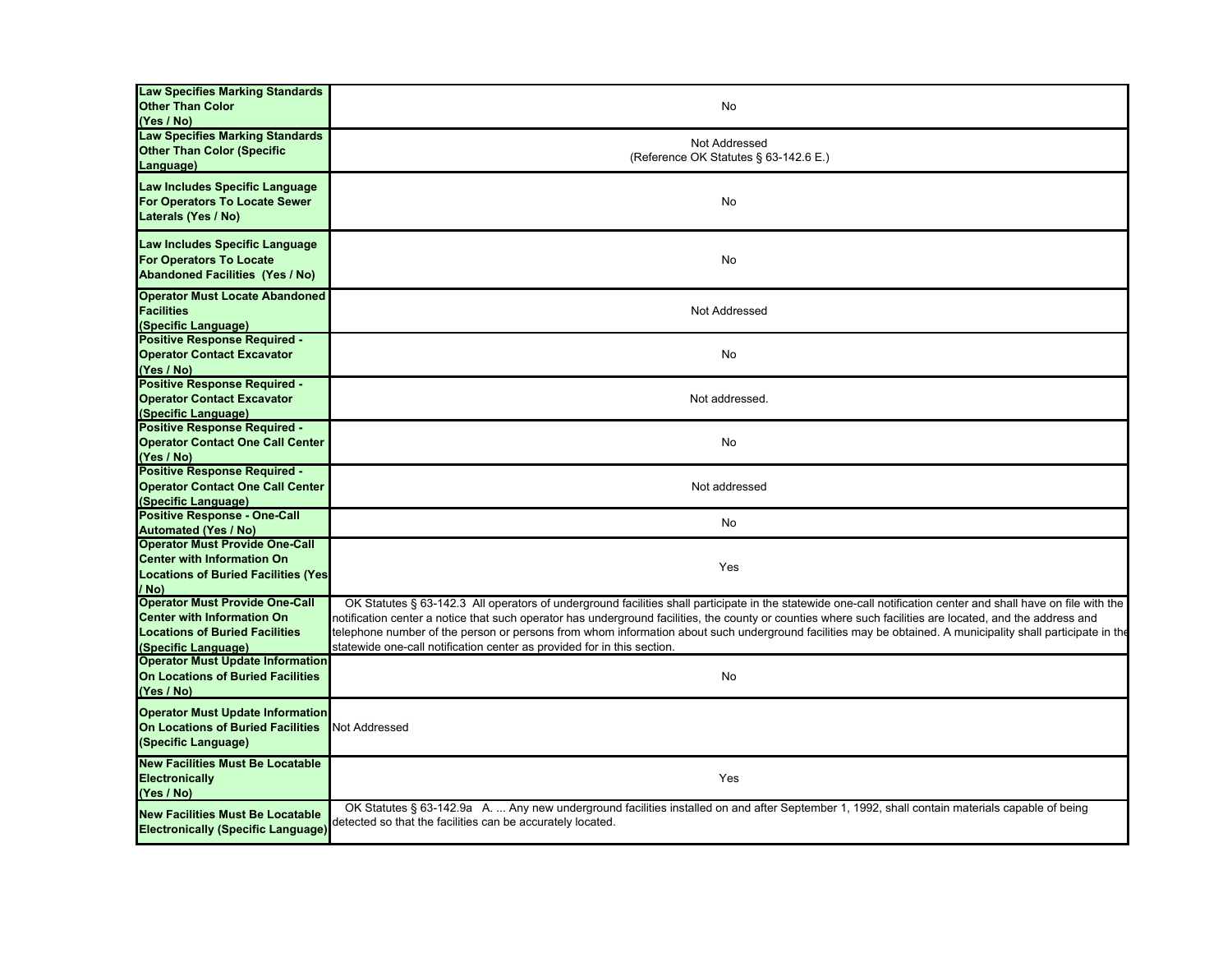| <b>Law Specifies Marking Standards</b><br><b>Other Than Color</b><br>(Yes / No)                                                            | No                                                                                                                                                                                                                                                                                                                                                                                                                                                                                                                                                                   |
|--------------------------------------------------------------------------------------------------------------------------------------------|----------------------------------------------------------------------------------------------------------------------------------------------------------------------------------------------------------------------------------------------------------------------------------------------------------------------------------------------------------------------------------------------------------------------------------------------------------------------------------------------------------------------------------------------------------------------|
| <b>Law Specifies Marking Standards</b><br><b>Other Than Color (Specific</b><br>Language)                                                   | Not Addressed<br>(Reference OK Statutes § 63-142.6 E.)                                                                                                                                                                                                                                                                                                                                                                                                                                                                                                               |
| Law Includes Specific Language<br>For Operators To Locate Sewer<br>Laterals (Yes / No)                                                     | No                                                                                                                                                                                                                                                                                                                                                                                                                                                                                                                                                                   |
| Law Includes Specific Language<br><b>For Operators To Locate</b><br><b>Abandoned Facilities (Yes / No)</b>                                 | No                                                                                                                                                                                                                                                                                                                                                                                                                                                                                                                                                                   |
| <b>Operator Must Locate Abandoned</b><br><b>Facilities</b><br>(Specific Language)                                                          | Not Addressed                                                                                                                                                                                                                                                                                                                                                                                                                                                                                                                                                        |
| <b>Positive Response Required -</b><br><b>Operator Contact Excavator</b><br>(Yes / No)                                                     | No                                                                                                                                                                                                                                                                                                                                                                                                                                                                                                                                                                   |
| <b>Positive Response Required -</b><br><b>Operator Contact Excavator</b><br>(Specific Language)                                            | Not addressed.                                                                                                                                                                                                                                                                                                                                                                                                                                                                                                                                                       |
| <b>Positive Response Required -</b><br><b>Operator Contact One Call Center</b><br>(Yes / No)                                               | No                                                                                                                                                                                                                                                                                                                                                                                                                                                                                                                                                                   |
| <b>Positive Response Required -</b><br><b>Operator Contact One Call Center</b><br>(Specific Language)                                      | Not addressed                                                                                                                                                                                                                                                                                                                                                                                                                                                                                                                                                        |
| <b>Positive Response - One-Call</b><br><b>Automated (Yes / No)</b>                                                                         | No                                                                                                                                                                                                                                                                                                                                                                                                                                                                                                                                                                   |
| <b>Operator Must Provide One-Call</b><br><b>Center with Information On</b><br><b>Locations of Buried Facilities (Yes)</b><br>/ No)         | Yes                                                                                                                                                                                                                                                                                                                                                                                                                                                                                                                                                                  |
| <b>Operator Must Provide One-Call</b><br><b>Center with Information On</b><br><b>Locations of Buried Facilities</b><br>(Specific Language) | OK Statutes § 63-142.3 All operators of underground facilities shall participate in the statewide one-call notification center and shall have on file with the<br>notification center a notice that such operator has underground facilities, the county or counties where such facilities are located, and the address and<br>telephone number of the person or persons from whom information about such underground facilities may be obtained. A municipality shall participate in the<br>statewide one-call notification center as provided for in this section. |
| <b>Operator Must Update Information</b><br>On Locations of Buried Facilities<br>(Yes / No)                                                 | No                                                                                                                                                                                                                                                                                                                                                                                                                                                                                                                                                                   |
| <b>Operator Must Update Information</b><br><b>On Locations of Buried Facilities</b><br>(Specific Language)                                 | <b>Not Addressed</b>                                                                                                                                                                                                                                                                                                                                                                                                                                                                                                                                                 |
| <b>New Facilities Must Be Locatable</b><br><b>Electronically</b><br>(Yes / No)                                                             | Yes                                                                                                                                                                                                                                                                                                                                                                                                                                                                                                                                                                  |
| <b>New Facilities Must Be Locatable</b><br><b>Electronically (Specific Language)</b>                                                       | OK Statutes § 63-142.9a A.  Any new underground facilities installed on and after September 1, 1992, shall contain materials capable of being<br>detected so that the facilities can be accurately located.                                                                                                                                                                                                                                                                                                                                                          |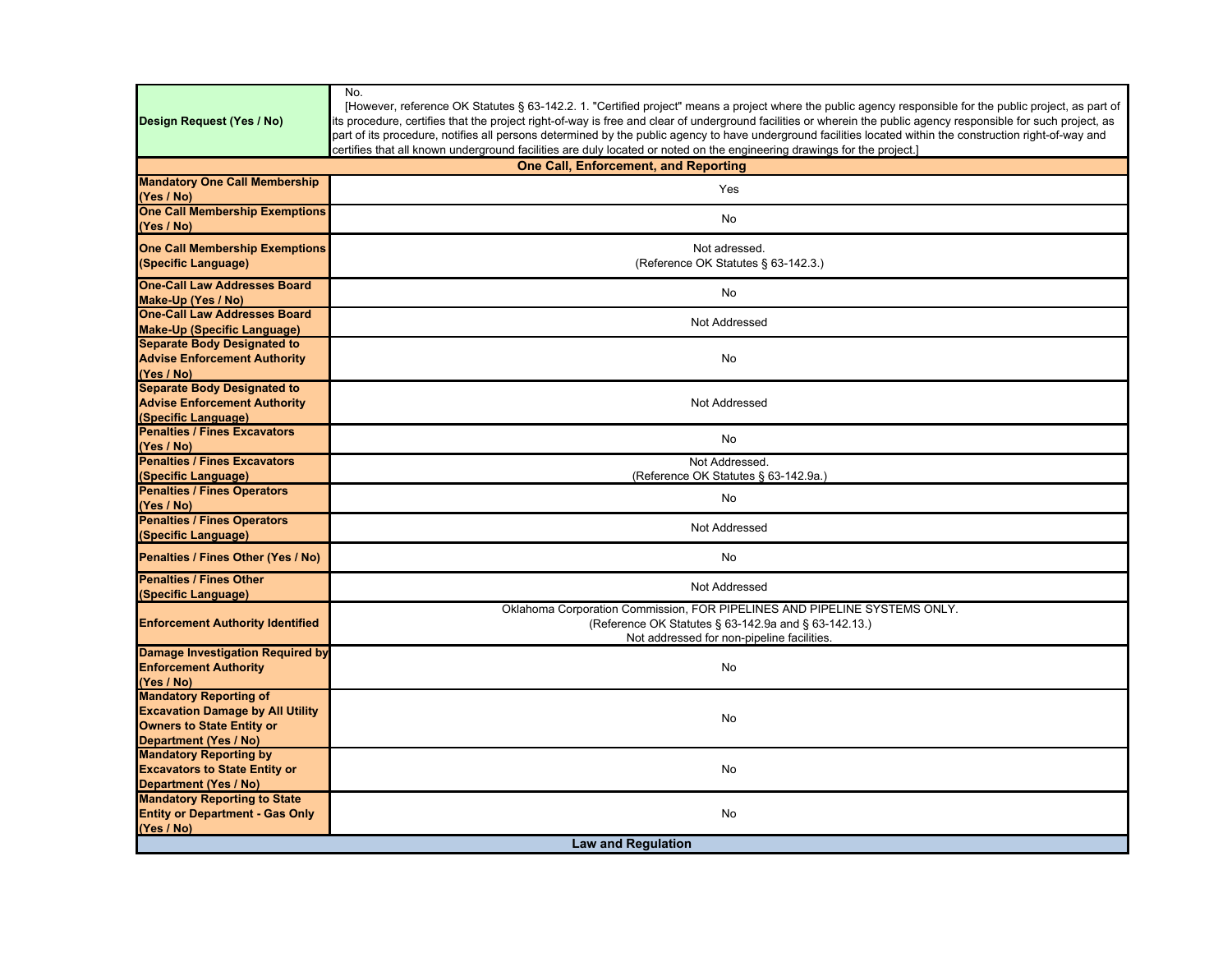| Design Request (Yes / No)                                                                                                             | No.<br>[However, reference OK Statutes § 63-142.2. 1. "Certified project" means a project where the public agency responsible for the public project, as part of<br>its procedure, certifies that the project right-of-way is free and clear of underground facilities or wherein the public agency responsible for such project, as<br>part of its procedure, notifies all persons determined by the public agency to have underground facilities located within the construction right-of-way and<br>certifies that all known underground facilities are duly located or noted on the engineering drawings for the project.] |  |
|---------------------------------------------------------------------------------------------------------------------------------------|--------------------------------------------------------------------------------------------------------------------------------------------------------------------------------------------------------------------------------------------------------------------------------------------------------------------------------------------------------------------------------------------------------------------------------------------------------------------------------------------------------------------------------------------------------------------------------------------------------------------------------|--|
|                                                                                                                                       | <b>One Call, Enforcement, and Reporting</b>                                                                                                                                                                                                                                                                                                                                                                                                                                                                                                                                                                                    |  |
| <b>Mandatory One Call Membership</b><br>(Yes / No)                                                                                    | Yes                                                                                                                                                                                                                                                                                                                                                                                                                                                                                                                                                                                                                            |  |
| <b>One Call Membership Exemptions</b><br>(Yes / No)                                                                                   | No                                                                                                                                                                                                                                                                                                                                                                                                                                                                                                                                                                                                                             |  |
| <b>One Call Membership Exemptions</b><br>(Specific Language)                                                                          | Not adressed.<br>(Reference OK Statutes § 63-142.3.)                                                                                                                                                                                                                                                                                                                                                                                                                                                                                                                                                                           |  |
| <b>One-Call Law Addresses Board</b><br>Make-Up (Yes / No)                                                                             | No                                                                                                                                                                                                                                                                                                                                                                                                                                                                                                                                                                                                                             |  |
| <b>One-Call Law Addresses Board</b><br><b>Make-Up (Specific Language)</b>                                                             | Not Addressed                                                                                                                                                                                                                                                                                                                                                                                                                                                                                                                                                                                                                  |  |
| <b>Separate Body Designated to</b><br><b>Advise Enforcement Authority</b><br>(Yes / No)                                               | No                                                                                                                                                                                                                                                                                                                                                                                                                                                                                                                                                                                                                             |  |
| <b>Separate Body Designated to</b><br><b>Advise Enforcement Authority</b><br>(Specific Language)                                      | Not Addressed                                                                                                                                                                                                                                                                                                                                                                                                                                                                                                                                                                                                                  |  |
| <b>Penalties / Fines Excavators</b><br>(Yes / No)                                                                                     | <b>No</b>                                                                                                                                                                                                                                                                                                                                                                                                                                                                                                                                                                                                                      |  |
| <b>Penalties / Fines Excavators</b><br>(Specific Language)                                                                            | Not Addressed.<br>(Reference OK Statutes § 63-142.9a.)                                                                                                                                                                                                                                                                                                                                                                                                                                                                                                                                                                         |  |
| <b>Penalties / Fines Operators</b><br>(Yes / No)                                                                                      | No                                                                                                                                                                                                                                                                                                                                                                                                                                                                                                                                                                                                                             |  |
| <b>Penalties / Fines Operators</b><br>(Specific Language)                                                                             | Not Addressed                                                                                                                                                                                                                                                                                                                                                                                                                                                                                                                                                                                                                  |  |
| Penalties / Fines Other (Yes / No)                                                                                                    | No                                                                                                                                                                                                                                                                                                                                                                                                                                                                                                                                                                                                                             |  |
| <b>Penalties / Fines Other</b><br>(Specific Language)                                                                                 | Not Addressed                                                                                                                                                                                                                                                                                                                                                                                                                                                                                                                                                                                                                  |  |
| <b>Enforcement Authority Identified</b>                                                                                               | Oklahoma Corporation Commission, FOR PIPELINES AND PIPELINE SYSTEMS ONLY.<br>(Reference OK Statutes § 63-142.9a and § 63-142.13.)<br>Not addressed for non-pipeline facilities.                                                                                                                                                                                                                                                                                                                                                                                                                                                |  |
| <b>Damage Investigation Required by</b><br><b>Enforcement Authority</b><br>(Yes / No)                                                 | No                                                                                                                                                                                                                                                                                                                                                                                                                                                                                                                                                                                                                             |  |
| <b>Mandatory Reporting of</b><br><b>Excavation Damage by All Utility</b><br><b>Owners to State Entity or</b><br>Department (Yes / No) | No                                                                                                                                                                                                                                                                                                                                                                                                                                                                                                                                                                                                                             |  |
| <b>Mandatory Reporting by</b><br><b>Excavators to State Entity or</b><br>Department (Yes / No)                                        | No                                                                                                                                                                                                                                                                                                                                                                                                                                                                                                                                                                                                                             |  |
| <b>Mandatory Reporting to State</b><br><b>Entity or Department - Gas Only</b><br>(Yes / No)                                           | No                                                                                                                                                                                                                                                                                                                                                                                                                                                                                                                                                                                                                             |  |
| <b>Law and Regulation</b>                                                                                                             |                                                                                                                                                                                                                                                                                                                                                                                                                                                                                                                                                                                                                                |  |